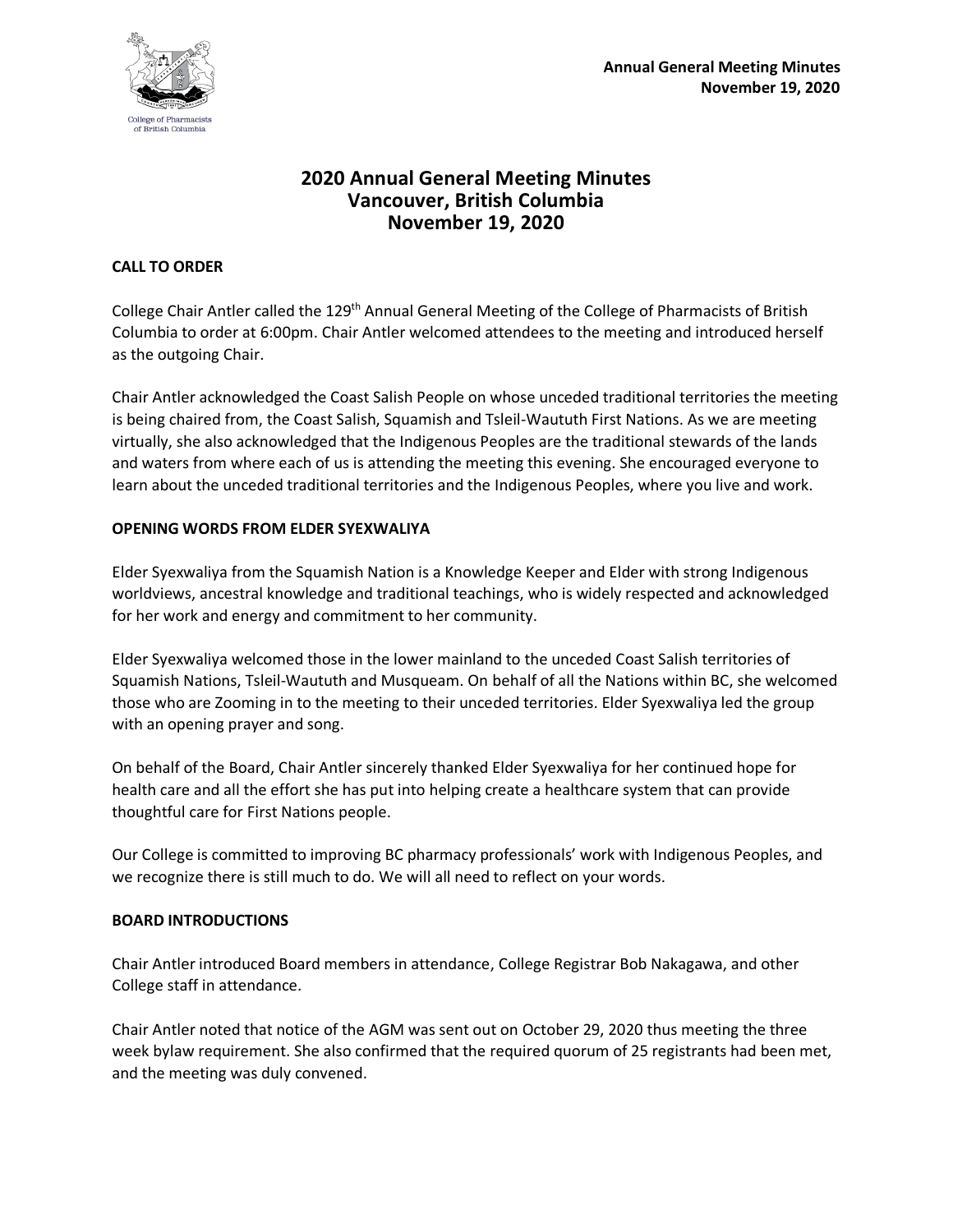

# **2020 Annual General Meeting Minutes Vancouver, British Columbia November 19, 2020**

### **CALL TO ORDER**

College Chair Antler called the 129<sup>th</sup> Annual General Meeting of the College of Pharmacists of British Columbia to order at 6:00pm. Chair Antler welcomed attendees to the meeting and introduced herself as the outgoing Chair.

Chair Antler acknowledged the Coast Salish People on whose unceded traditional territories the meeting is being chaired from, the Coast Salish, Squamish and Tsleil-Waututh First Nations. As we are meeting virtually, she also acknowledged that the Indigenous Peoples are the traditional stewards of the lands and waters from where each of us is attending the meeting this evening. She encouraged everyone to learn about the unceded traditional territories and the Indigenous Peoples, where you live and work.

### **OPENING WORDS FROM ELDER SYEXWALIYA**

Elder Syexwaliya from the Squamish Nation is a Knowledge Keeper and Elder with strong Indigenous worldviews, ancestral knowledge and traditional teachings, who is widely respected and acknowledged for her work and energy and commitment to her community.

Elder Syexwaliya welcomed those in the lower mainland to the unceded Coast Salish territories of Squamish Nations, Tsleil-Waututh and Musqueam. On behalf of all the Nations within BC, she welcomed those who are Zooming in to the meeting to their unceded territories. Elder Syexwaliya led the group with an opening prayer and song.

On behalf of the Board, Chair Antler sincerely thanked Elder Syexwaliya for her continued hope for health care and all the effort she has put into helping create a healthcare system that can provide thoughtful care for First Nations people.

Our College is committed to improving BC pharmacy professionals' work with Indigenous Peoples, and we recognize there is still much to do. We will all need to reflect on your words.

# **BOARD INTRODUCTIONS**

Chair Antler introduced Board members in attendance, College Registrar Bob Nakagawa, and other College staff in attendance.

Chair Antler noted that notice of the AGM was sent out on October 29, 2020 thus meeting the three week bylaw requirement. She also confirmed that the required quorum of 25 registrants had been met, and the meeting was duly convened.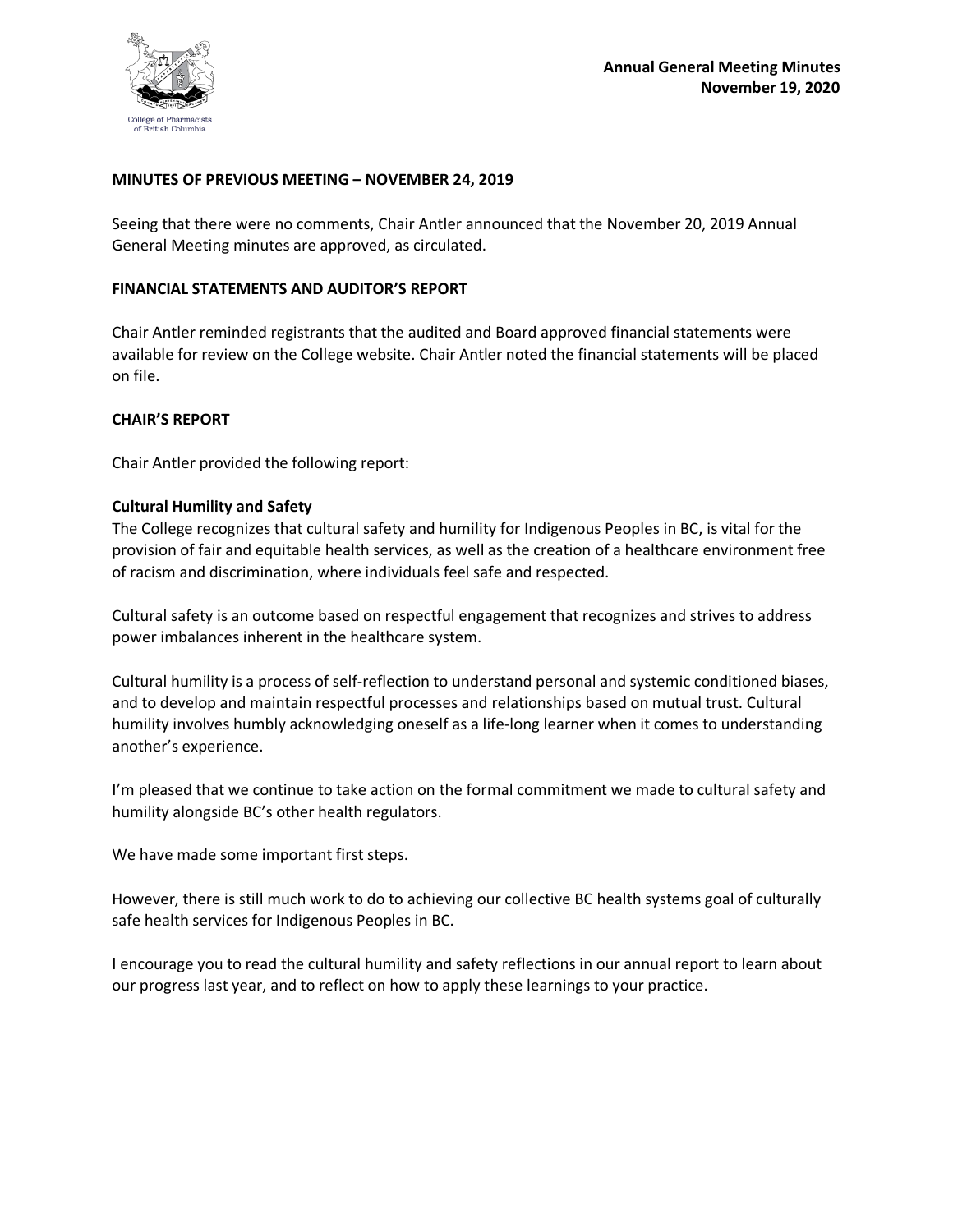

#### **MINUTES OF PREVIOUS MEETING – NOVEMBER 24, 2019**

Seeing that there were no comments, Chair Antler announced that the November 20, 2019 Annual General Meeting minutes are approved, as circulated.

#### **FINANCIAL STATEMENTS AND AUDITOR'S REPORT**

Chair Antler reminded registrants that the audited and Board approved financial statements were available for review on the College website. Chair Antler noted the financial statements will be placed on file.

#### **CHAIR'S REPORT**

Chair Antler provided the following report:

#### **Cultural Humility and Safety**

The College recognizes that cultural safety and humility for Indigenous Peoples in BC, is vital for the provision of fair and equitable health services, as well as the creation of a healthcare environment free of racism and discrimination, where individuals feel safe and respected.

Cultural safety is an outcome based on respectful engagement that recognizes and strives to address power imbalances inherent in the healthcare system.

Cultural humility is a process of self-reflection to understand personal and systemic conditioned biases, and to develop and maintain respectful processes and relationships based on mutual trust. Cultural humility involves humbly acknowledging oneself as a life-long learner when it comes to understanding another's experience.

I'm pleased that we continue to take action on the formal commitment we made to cultural safety and humility alongside BC's other health regulators.

We have made some important first steps.

However, there is still much work to do to achieving our collective BC health systems goal of culturally safe health services for Indigenous Peoples in BC.

I encourage you to read the cultural humility and safety reflections in our annual report to learn about our progress last year, and to reflect on how to apply these learnings to your practice.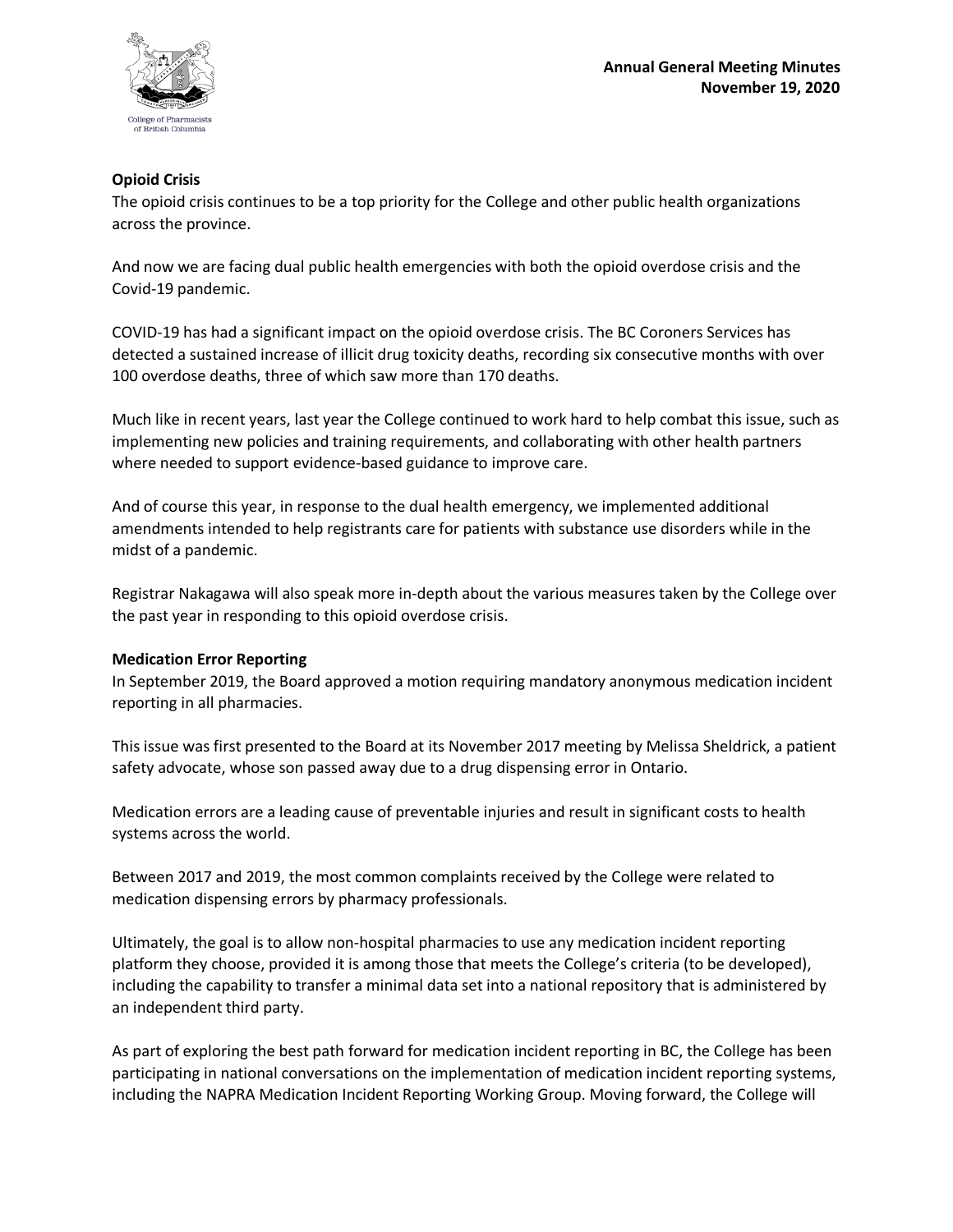

### **Opioid Crisis**

The opioid crisis continues to be a top priority for the College and other public health organizations across the province.

And now we are facing dual public health emergencies with both the opioid overdose crisis and the Covid-19 pandemic.

COVID-19 has had a significant impact on the opioid overdose crisis. The BC Coroners Services has detected a sustained increase of illicit drug toxicity deaths, recording six consecutive months with over 100 overdose deaths, three of which saw more than 170 deaths.

Much like in recent years, last year the College continued to work hard to help combat this issue, such as implementing new policies and training requirements, and collaborating with other health partners where needed to support evidence-based guidance to improve care.

And of course this year, in response to the dual health emergency, we implemented additional amendments intended to help registrants care for patients with substance use disorders while in the midst of a pandemic.

Registrar Nakagawa will also speak more in-depth about the various measures taken by the College over the past year in responding to this opioid overdose crisis.

#### **Medication Error Reporting**

In September 2019, the Board approved a motion requiring mandatory anonymous medication incident reporting in all pharmacies.

This issue was first presented to the Board at its November 2017 meeting by Melissa Sheldrick, a patient safety advocate, whose son passed away due to a drug dispensing error in Ontario.

Medication errors are a leading cause of preventable injuries and result in significant costs to health systems across the world.

Between 2017 and 2019, the most common complaints received by the College were related to medication dispensing errors by pharmacy professionals.

Ultimately, the goal is to allow non-hospital pharmacies to use any medication incident reporting platform they choose, provided it is among those that meets the College's criteria (to be developed), including the capability to transfer a minimal data set into a national repository that is administered by an independent third party.

As part of exploring the best path forward for medication incident reporting in BC, the College has been participating in national conversations on the implementation of medication incident reporting systems, including the NAPRA Medication Incident Reporting Working Group. Moving forward, the College will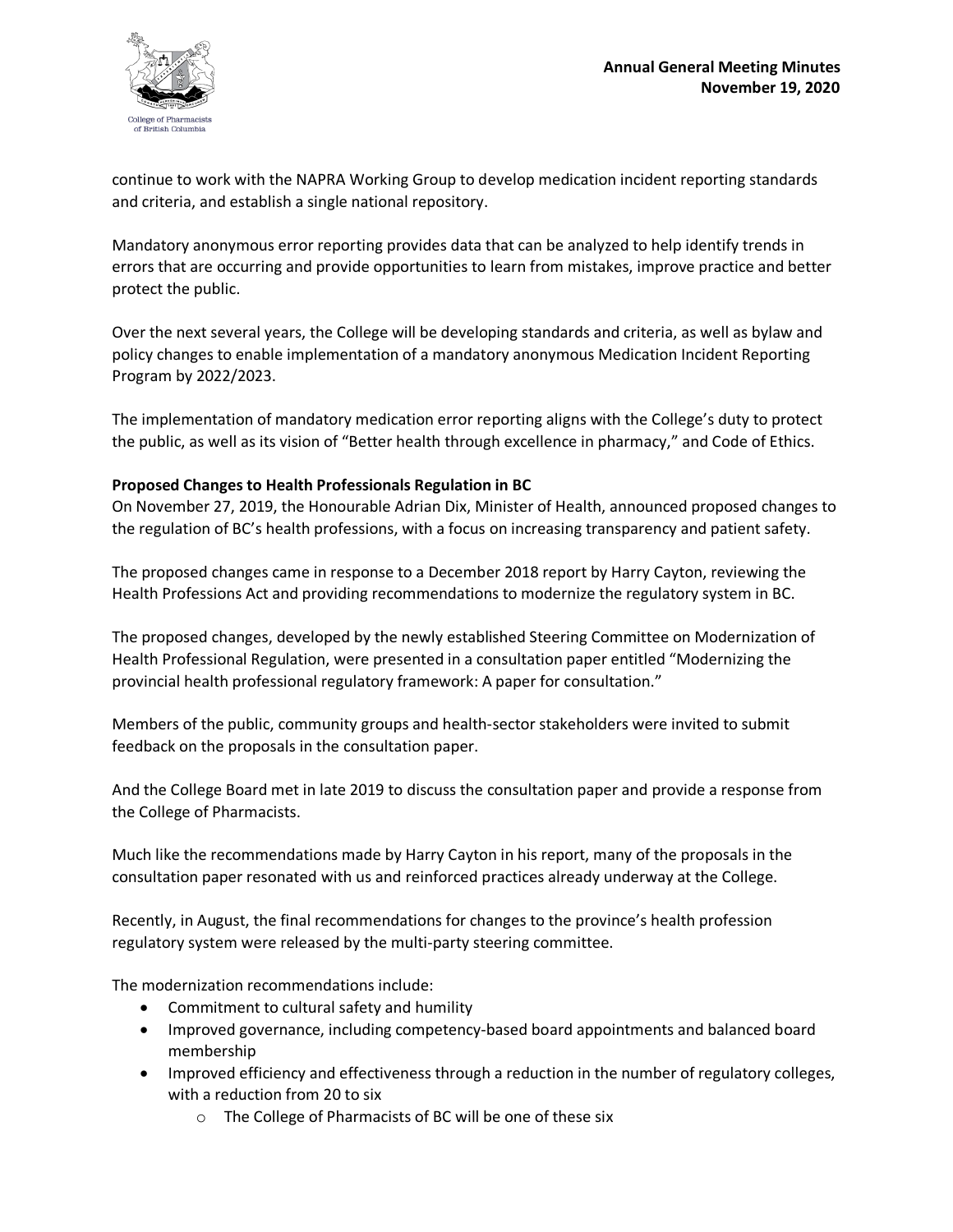

continue to work with the NAPRA Working Group to develop medication incident reporting standards and criteria, and establish a single national repository.

Mandatory anonymous error reporting provides data that can be analyzed to help identify trends in errors that are occurring and provide opportunities to learn from mistakes, improve practice and better protect the public.

Over the next several years, the College will be developing standards and criteria, as well as bylaw and policy changes to enable implementation of a mandatory anonymous Medication Incident Reporting Program by 2022/2023.

The implementation of mandatory medication error reporting aligns with the College's duty to protect the public, as well as its vision of "Better health through excellence in pharmacy," and Code of Ethics.

# **Proposed Changes to Health Professionals Regulation in BC**

On November 27, 2019, the Honourable Adrian Dix, Minister of Health, announced proposed changes to the regulation of BC's health professions, with a focus on increasing transparency and patient safety.

The proposed changes came in response to a December 2018 report by Harry Cayton, reviewing the Health Professions Act and providing recommendations to modernize the regulatory system in BC.

The proposed changes, developed by the newly established Steering Committee on Modernization of Health Professional Regulation, were presented in a consultation paper entitled "Modernizing the provincial health professional regulatory framework: A paper for consultation."

Members of the public, community groups and health-sector stakeholders were invited to submit feedback on the proposals in the consultation paper.

And the College Board met in late 2019 to discuss the consultation paper and provide a response from the College of Pharmacists.

Much like the recommendations made by Harry Cayton in his report, many of the proposals in the consultation paper resonated with us and reinforced practices already underway at the College.

Recently, in August, the final recommendations for changes to the province's health profession regulatory system were released by the multi-party steering committee.

The modernization recommendations include:

- Commitment to cultural safety and humility
- Improved governance, including competency-based board appointments and balanced board membership
- Improved efficiency and effectiveness through a reduction in the number of regulatory colleges, with a reduction from 20 to six
	- o The College of Pharmacists of BC will be one of these six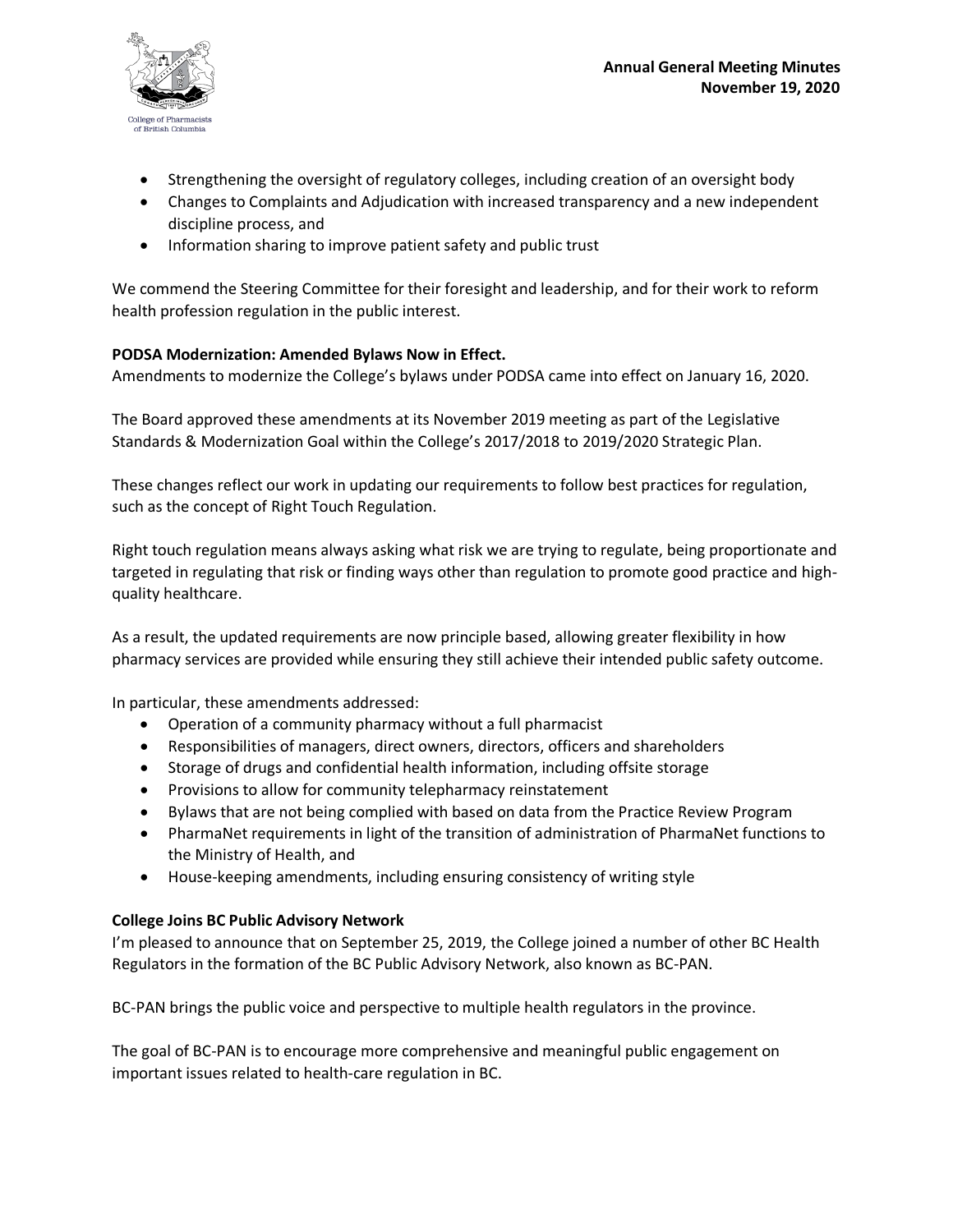

- Strengthening the oversight of regulatory colleges, including creation of an oversight body
- Changes to Complaints and Adjudication with increased transparency and a new independent discipline process, and
- Information sharing to improve patient safety and public trust

We commend the Steering Committee for their foresight and leadership, and for their work to reform health profession regulation in the public interest.

# **PODSA Modernization: Amended Bylaws Now in Effect.**

Amendments to modernize the College's bylaws under PODSA came into effect on January 16, 2020.

The Board approved these amendments at its November 2019 meeting as part of the Legislative Standards & Modernization Goal within the College's 2017/2018 to 2019/2020 Strategic Plan.

These changes reflect our work in updating our requirements to follow best practices for regulation, such as the concept of Right Touch Regulation.

Right touch regulation means always asking what risk we are trying to regulate, being proportionate and targeted in regulating that risk or finding ways other than regulation to promote good practice and highquality healthcare.

As a result, the updated requirements are now principle based, allowing greater flexibility in how pharmacy services are provided while ensuring they still achieve their intended public safety outcome.

In particular, these amendments addressed:

- Operation of a community pharmacy without a full pharmacist
- Responsibilities of managers, direct owners, directors, officers and shareholders
- Storage of drugs and confidential health information, including offsite storage
- Provisions to allow for community telepharmacy reinstatement
- Bylaws that are not being complied with based on data from the Practice Review Program
- PharmaNet requirements in light of the transition of administration of PharmaNet functions to the Ministry of Health, and
- House-keeping amendments, including ensuring consistency of writing style

#### **College Joins BC Public Advisory Network**

I'm pleased to announce that on September 25, 2019, the College joined a number of other BC Health Regulators in the formation of the BC Public Advisory Network, also known as BC-PAN.

BC-PAN brings the public voice and perspective to multiple health regulators in the province.

The goal of BC-PAN is to encourage more comprehensive and meaningful public engagement on important issues related to health-care regulation in BC.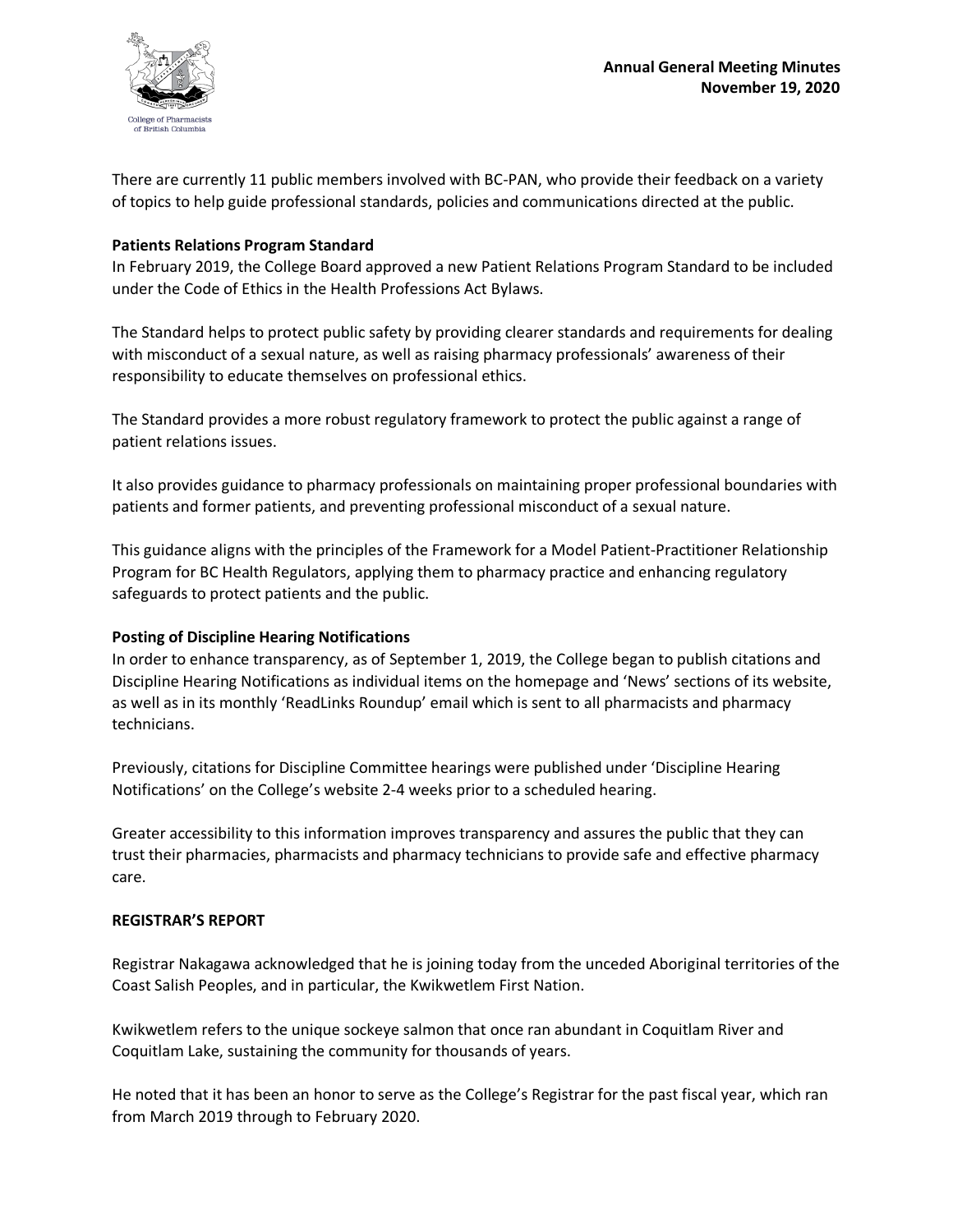

There are currently 11 public members involved with BC-PAN, who provide their feedback on a variety of topics to help guide professional standards, policies and communications directed at the public.

### **Patients Relations Program Standard**

In February 2019, the College Board approved a new Patient Relations Program Standard to be included under the Code of Ethics in the Health Professions Act Bylaws.

The Standard helps to protect public safety by providing clearer standards and requirements for dealing with misconduct of a sexual nature, as well as raising pharmacy professionals' awareness of their responsibility to educate themselves on professional ethics.

The Standard provides a more robust regulatory framework to protect the public against a range of patient relations issues.

It also provides guidance to pharmacy professionals on maintaining proper professional boundaries with patients and former patients, and preventing professional misconduct of a sexual nature.

This guidance aligns with the principles of the Framework for a Model Patient-Practitioner Relationship Program for BC Health Regulators, applying them to pharmacy practice and enhancing regulatory safeguards to protect patients and the public.

# **Posting of Discipline Hearing Notifications**

In order to enhance transparency, as of September 1, 2019, the College began to publish citations and Discipline Hearing Notifications as individual items on the homepage and 'News' sections of its website, as well as in its monthly 'ReadLinks Roundup' email which is sent to all pharmacists and pharmacy technicians.

Previously, citations for Discipline Committee hearings were published under 'Discipline Hearing Notifications' on the College's website 2-4 weeks prior to a scheduled hearing.

Greater accessibility to this information improves transparency and assures the public that they can trust their pharmacies, pharmacists and pharmacy technicians to provide safe and effective pharmacy care.

#### **REGISTRAR'S REPORT**

Registrar Nakagawa acknowledged that he is joining today from the unceded Aboriginal territories of the Coast Salish Peoples, and in particular, the Kwikwetlem First Nation.

Kwikwetlem refers to the unique sockeye salmon that once ran abundant in Coquitlam River and Coquitlam Lake, sustaining the community for thousands of years.

He noted that it has been an honor to serve as the College's Registrar for the past fiscal year, which ran from March 2019 through to February 2020.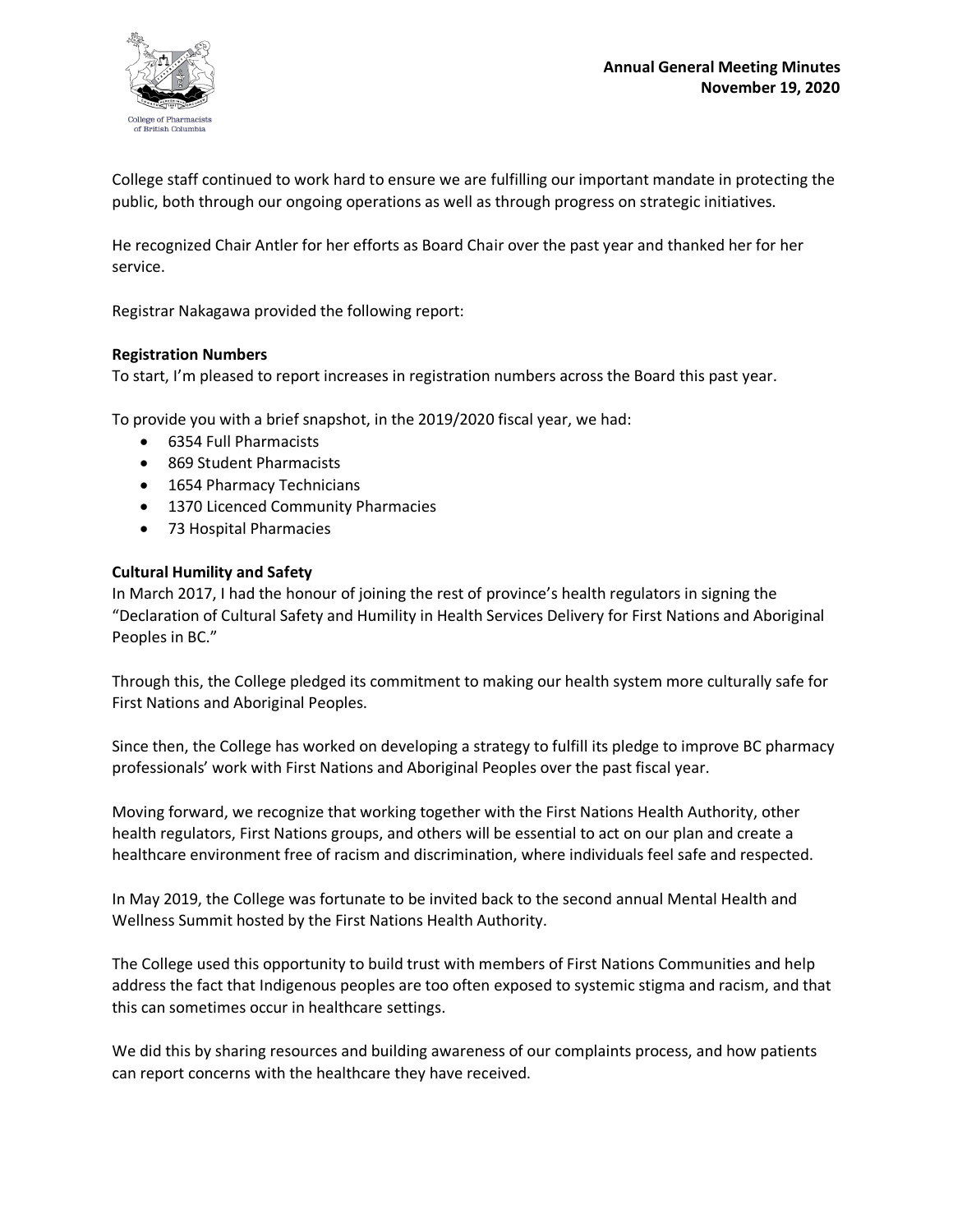

College staff continued to work hard to ensure we are fulfilling our important mandate in protecting the public, both through our ongoing operations as well as through progress on strategic initiatives.

He recognized Chair Antler for her efforts as Board Chair over the past year and thanked her for her service.

Registrar Nakagawa provided the following report:

#### **Registration Numbers**

To start, I'm pleased to report increases in registration numbers across the Board this past year.

To provide you with a brief snapshot, in the 2019/2020 fiscal year, we had:

- 6354 Full Pharmacists
- 869 Student Pharmacists
- 1654 Pharmacy Technicians
- 1370 Licenced Community Pharmacies
- 73 Hospital Pharmacies

#### **Cultural Humility and Safety**

In March 2017, I had the honour of joining the rest of province's health regulators in signing the "Declaration of Cultural Safety and Humility in Health Services Delivery for First Nations and Aboriginal Peoples in BC."

Through this, the College pledged its commitment to making our health system more culturally safe for First Nations and Aboriginal Peoples.

Since then, the College has worked on developing a strategy to fulfill its pledge to improve BC pharmacy professionals' work with First Nations and Aboriginal Peoples over the past fiscal year.

Moving forward, we recognize that working together with the First Nations Health Authority, other health regulators, First Nations groups, and others will be essential to act on our plan and create a healthcare environment free of racism and discrimination, where individuals feel safe and respected.

In May 2019, the College was fortunate to be invited back to the second annual Mental Health and Wellness Summit hosted by the First Nations Health Authority.

The College used this opportunity to build trust with members of First Nations Communities and help address the fact that Indigenous peoples are too often exposed to systemic stigma and racism, and that this can sometimes occur in healthcare settings.

We did this by sharing resources and building awareness of our complaints process, and how patients can report concerns with the healthcare they have received.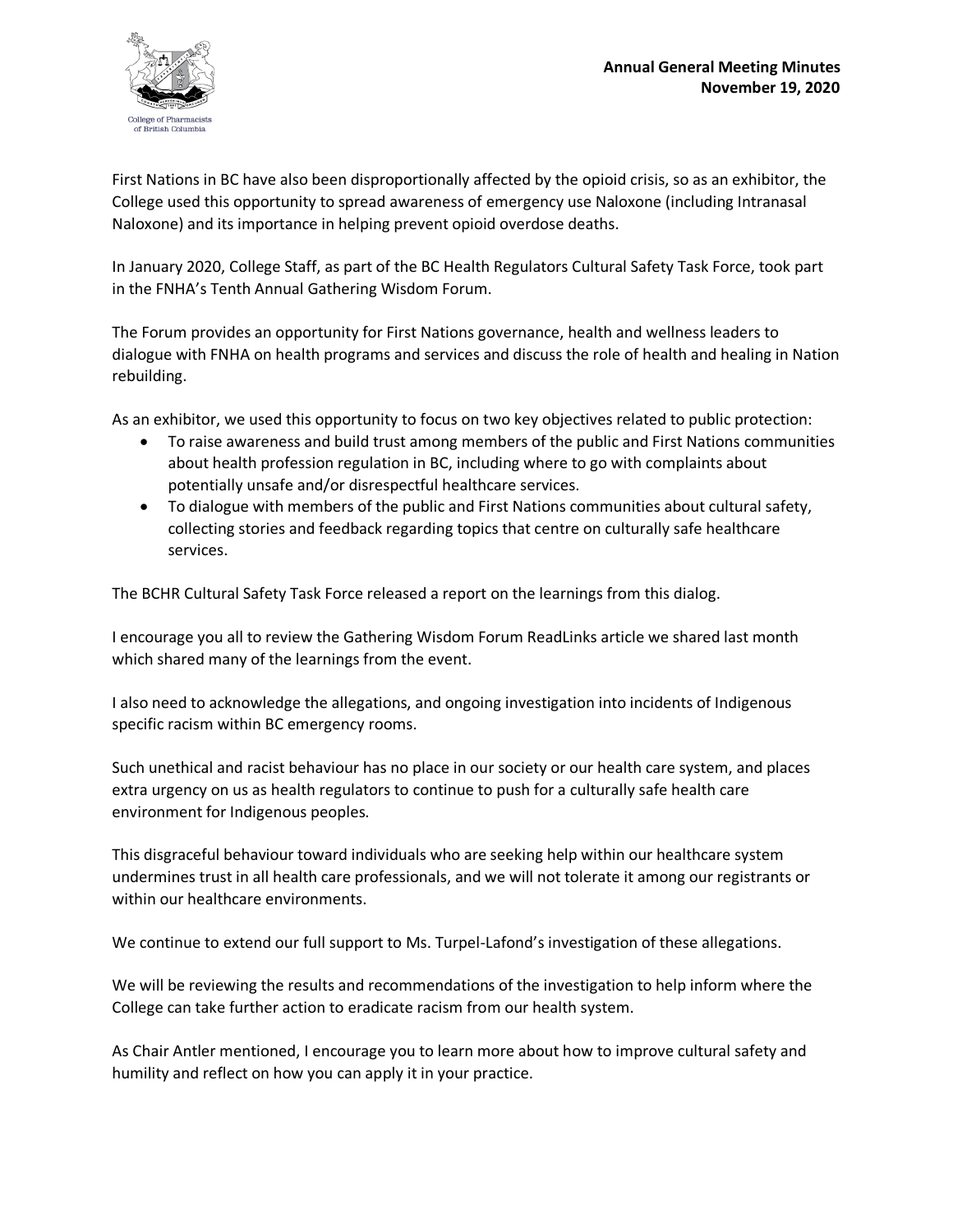

First Nations in BC have also been disproportionally affected by the opioid crisis, so as an exhibitor, the College used this opportunity to spread awareness of emergency use Naloxone (including Intranasal Naloxone) and its importance in helping prevent opioid overdose deaths.

In January 2020, College Staff, as part of the BC Health Regulators Cultural Safety Task Force, took part in the FNHA's Tenth Annual Gathering Wisdom Forum.

The Forum provides an opportunity for First Nations governance, health and wellness leaders to dialogue with FNHA on health programs and services and discuss the role of health and healing in Nation rebuilding.

As an exhibitor, we used this opportunity to focus on two key objectives related to public protection:

- To raise awareness and build trust among members of the public and First Nations communities about health profession regulation in BC, including where to go with complaints about potentially unsafe and/or disrespectful healthcare services.
- To dialogue with members of the public and First Nations communities about cultural safety, collecting stories and feedback regarding topics that centre on culturally safe healthcare services.

The BCHR Cultural Safety Task Force released a report on the learnings from this dialog.

I encourage you all to review the Gathering Wisdom Forum ReadLinks article we shared last month which shared many of the learnings from the event.

I also need to acknowledge the allegations, and ongoing investigation into incidents of Indigenous specific racism within BC emergency rooms.

Such unethical and racist behaviour has no place in our society or our health care system, and places extra urgency on us as health regulators to continue to push for a culturally safe health care environment for Indigenous peoples.

This disgraceful behaviour toward individuals who are seeking help within our healthcare system undermines trust in all health care professionals, and we will not tolerate it among our registrants or within our healthcare environments.

We continue to extend our full support to Ms. Turpel-Lafond's investigation of these allegations.

We will be reviewing the results and recommendations of the investigation to help inform where the College can take further action to eradicate racism from our health system.

As Chair Antler mentioned, I encourage you to learn more about how to improve cultural safety and humility and reflect on how you can apply it in your practice.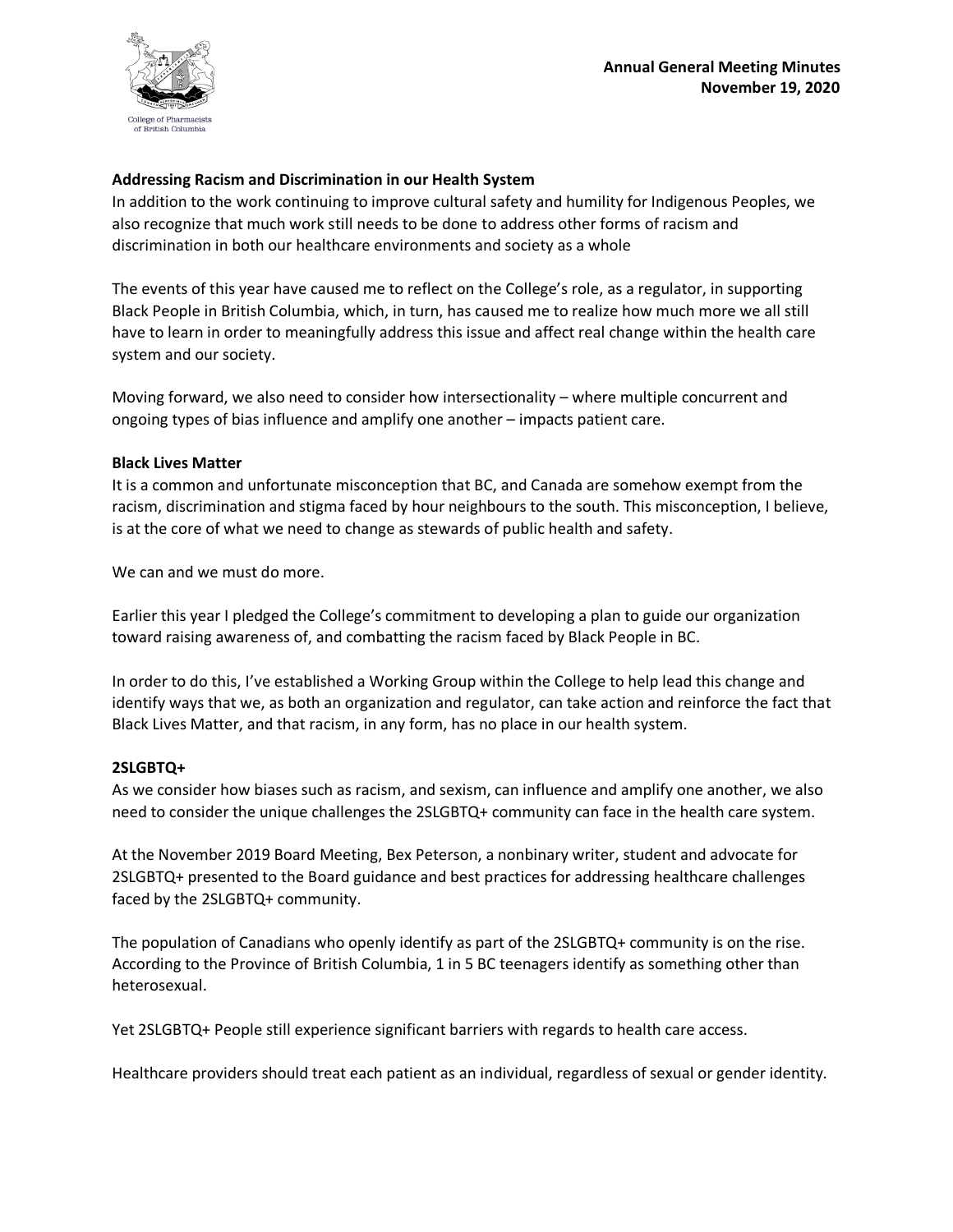

### **Addressing Racism and Discrimination in our Health System**

In addition to the work continuing to improve cultural safety and humility for Indigenous Peoples, we also recognize that much work still needs to be done to address other forms of racism and discrimination in both our healthcare environments and society as a whole

The events of this year have caused me to reflect on the College's role, as a regulator, in supporting Black People in British Columbia, which, in turn, has caused me to realize how much more we all still have to learn in order to meaningfully address this issue and affect real change within the health care system and our society.

Moving forward, we also need to consider how intersectionality – where multiple concurrent and ongoing types of bias influence and amplify one another – impacts patient care.

#### **Black Lives Matter**

It is a common and unfortunate misconception that BC, and Canada are somehow exempt from the racism, discrimination and stigma faced by hour neighbours to the south. This misconception, I believe, is at the core of what we need to change as stewards of public health and safety.

We can and we must do more.

Earlier this year I pledged the College's commitment to developing a plan to guide our organization toward raising awareness of, and combatting the racism faced by Black People in BC.

In order to do this, I've established a Working Group within the College to help lead this change and identify ways that we, as both an organization and regulator, can take action and reinforce the fact that Black Lives Matter, and that racism, in any form, has no place in our health system.

#### **2SLGBTQ+**

As we consider how biases such as racism, and sexism, can influence and amplify one another, we also need to consider the unique challenges the 2SLGBTQ+ community can face in the health care system.

At the November 2019 Board Meeting, Bex Peterson, a nonbinary writer, student and advocate for 2SLGBTQ+ presented to the Board guidance and best practices for addressing healthcare challenges faced by the 2SLGBTQ+ community.

The population of Canadians who openly identify as part of the 2SLGBTQ+ community is on the rise. According to the Province of British Columbia, 1 in 5 BC teenagers identify as something other than heterosexual.

Yet 2SLGBTQ+ People still experience significant barriers with regards to health care access.

Healthcare providers should treat each patient as an individual, regardless of sexual or gender identity.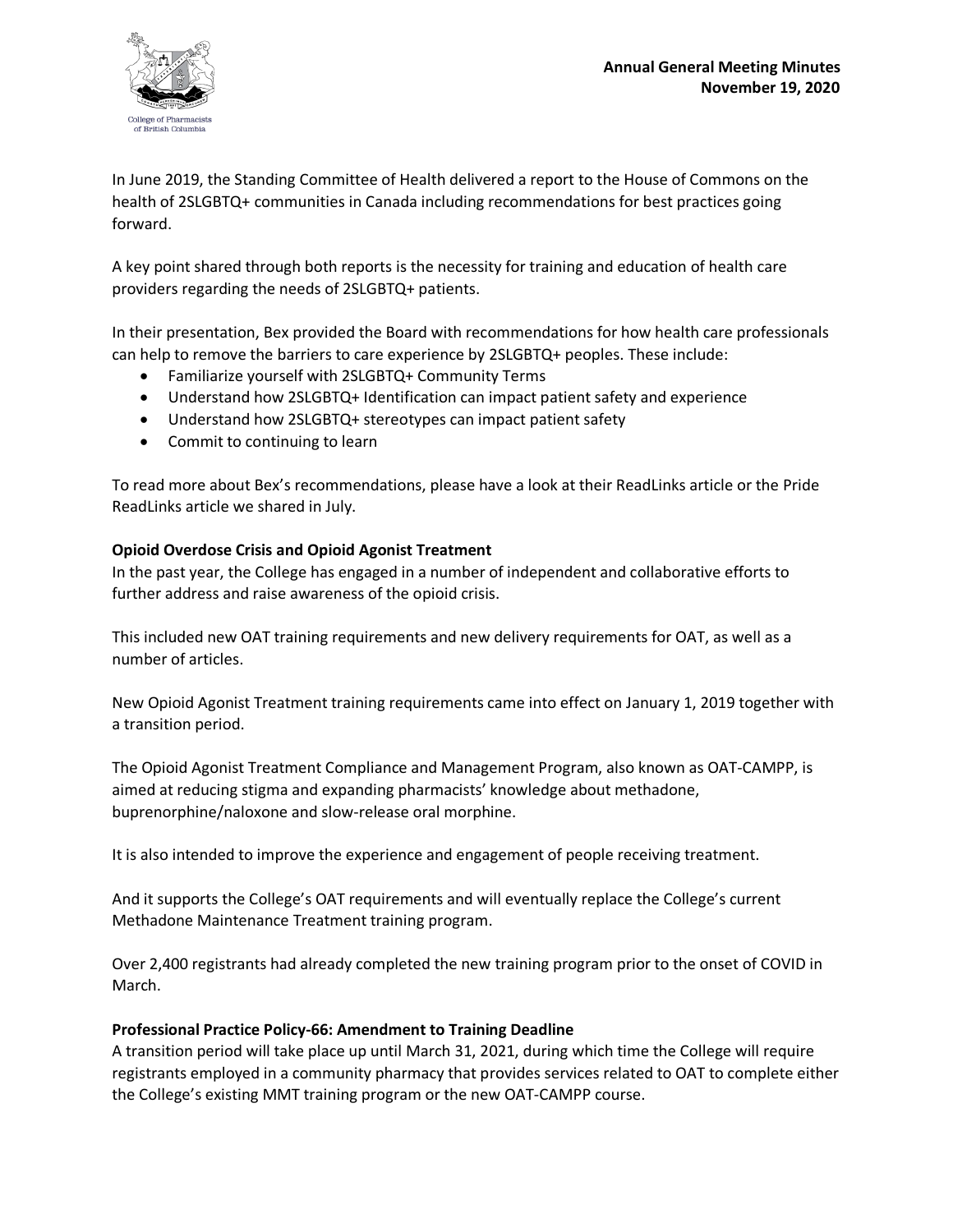

In June 2019, the Standing Committee of Health delivered a report to the House of Commons on the health of 2SLGBTQ+ communities in Canada including recommendations for best practices going forward.

A key point shared through both reports is the necessity for training and education of health care providers regarding the needs of 2SLGBTQ+ patients.

In their presentation, Bex provided the Board with recommendations for how health care professionals can help to remove the barriers to care experience by 2SLGBTQ+ peoples. These include:

- Familiarize yourself with 2SLGBTQ+ Community Terms
- Understand how 2SLGBTQ+ Identification can impact patient safety and experience
- Understand how 2SLGBTQ+ stereotypes can impact patient safety
- Commit to continuing to learn

To read more about Bex's recommendations, please have a look at their ReadLinks article or the Pride ReadLinks article we shared in July.

### **Opioid Overdose Crisis and Opioid Agonist Treatment**

In the past year, the College has engaged in a number of independent and collaborative efforts to further address and raise awareness of the opioid crisis.

This included new OAT training requirements and new delivery requirements for OAT, as well as a number of articles.

New Opioid Agonist Treatment training requirements came into effect on January 1, 2019 together with a transition period.

The Opioid Agonist Treatment Compliance and Management Program, also known as OAT-CAMPP, is aimed at reducing stigma and expanding pharmacists' knowledge about methadone, buprenorphine/naloxone and slow-release oral morphine.

It is also intended to improve the experience and engagement of people receiving treatment.

And it supports the College's OAT requirements and will eventually replace the College's current Methadone Maintenance Treatment training program.

Over 2,400 registrants had already completed the new training program prior to the onset of COVID in March.

# **Professional Practice Policy-66: Amendment to Training Deadline**

A transition period will take place up until March 31, 2021, during which time the College will require registrants employed in a community pharmacy that provides services related to OAT to complete either the College's existing MMT training program or the new OAT-CAMPP course.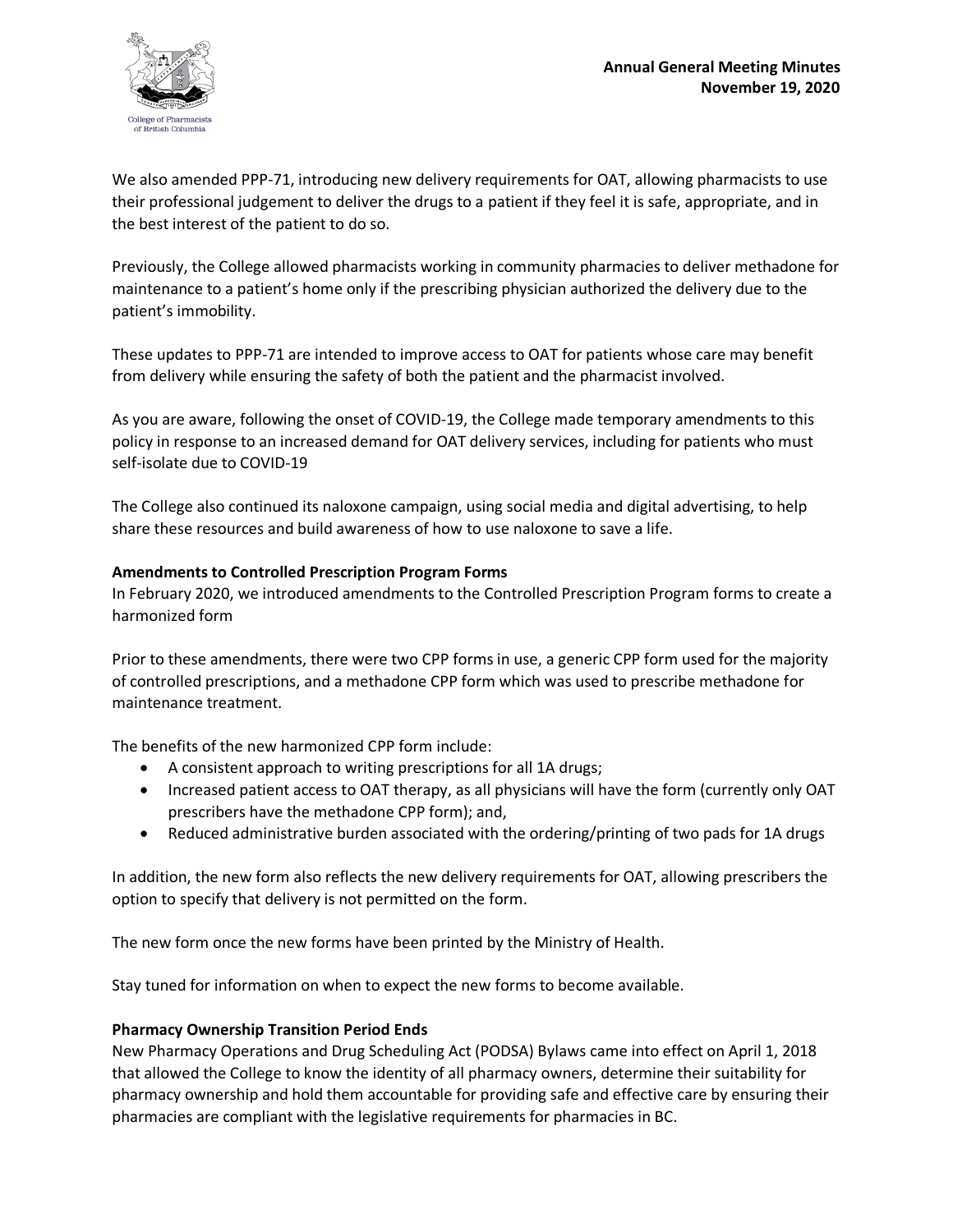

We also amended PPP-71, introducing new delivery requirements for OAT, allowing pharmacists to use their professional judgement to deliver the drugs to a patient if they feel it is safe, appropriate, and in the best interest of the patient to do so.

Previously, the College allowed pharmacists working in community pharmacies to deliver methadone for maintenance to a patient's home only if the prescribing physician authorized the delivery due to the patient's immobility.

These updates to PPP-71 are intended to improve access to OAT for patients whose care may benefit from delivery while ensuring the safety of both the patient and the pharmacist involved.

As you are aware, following the onset of COVID-19, the College made temporary amendments to this policy in response to an increased demand for OAT delivery services, including for patients who must self-isolate due to COVID-19

The College also continued its naloxone campaign, using social media and digital advertising, to help share these resources and build awareness of how to use naloxone to save a life.

### **Amendments to Controlled Prescription Program Forms**

In February 2020, we introduced amendments to the Controlled Prescription Program forms to create a harmonized form

Prior to these amendments, there were two CPP forms in use, a generic CPP form used for the majority of controlled prescriptions, and a methadone CPP form which was used to prescribe methadone for maintenance treatment.

The benefits of the new harmonized CPP form include:

- A consistent approach to writing prescriptions for all 1A drugs;
- Increased patient access to OAT therapy, as all physicians will have the form (currently only OAT prescribers have the methadone CPP form); and,
- Reduced administrative burden associated with the ordering/printing of two pads for 1A drugs

In addition, the new form also reflects the new delivery requirements for OAT, allowing prescribers the option to specify that delivery is not permitted on the form.

The new form once the new forms have been printed by the Ministry of Health.

Stay tuned for information on when to expect the new forms to become available.

#### **Pharmacy Ownership Transition Period Ends**

New Pharmacy Operations and Drug Scheduling Act (PODSA) Bylaws came into effect on April 1, 2018 that allowed the College to know the identity of all pharmacy owners, determine their suitability for pharmacy ownership and hold them accountable for providing safe and effective care by ensuring their pharmacies are compliant with the legislative requirements for pharmacies in BC.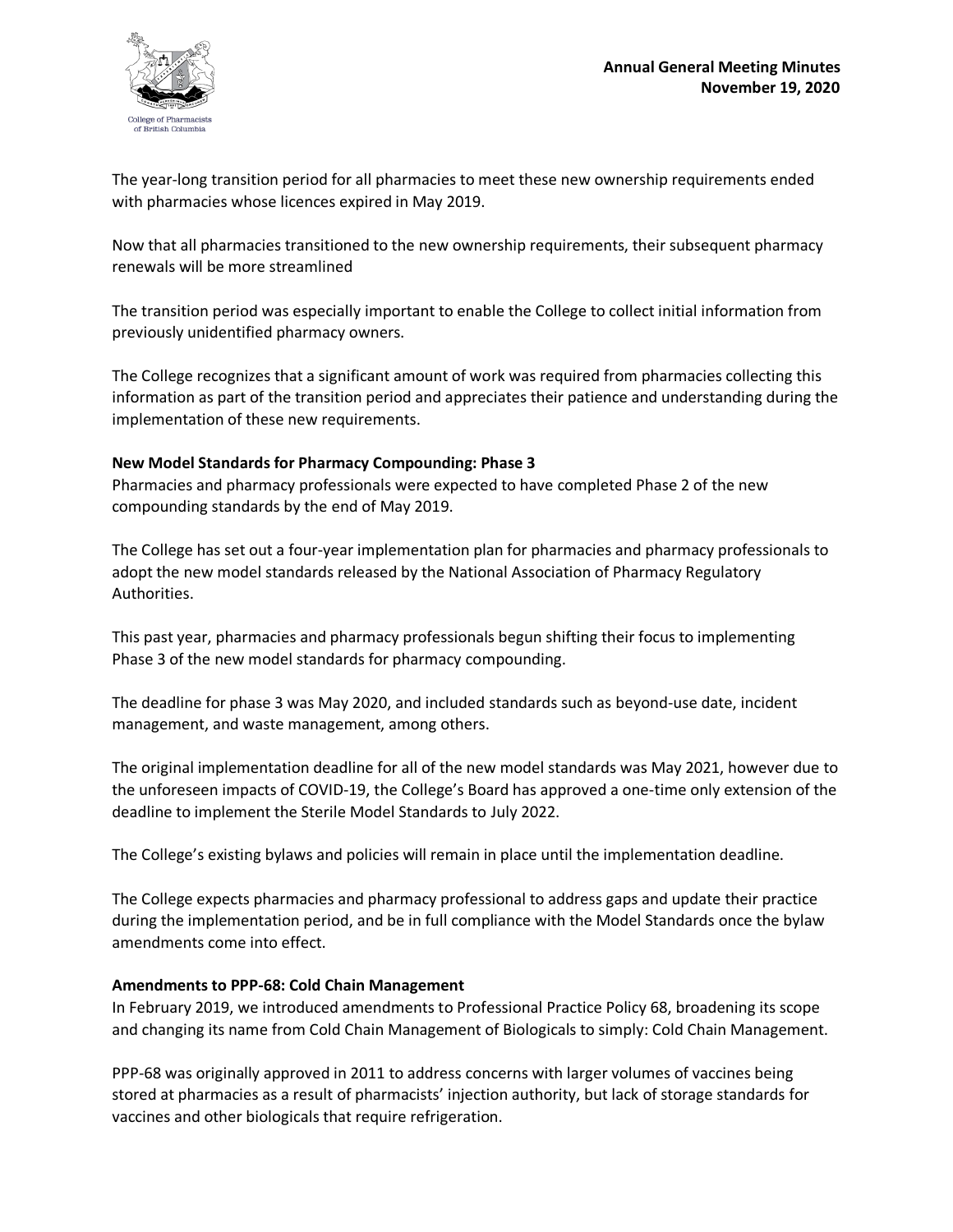

The year-long transition period for all pharmacies to meet these new ownership requirements ended with pharmacies whose licences expired in May 2019.

Now that all pharmacies transitioned to the new ownership requirements, their subsequent pharmacy renewals will be more streamlined

The transition period was especially important to enable the College to collect initial information from previously unidentified pharmacy owners.

The College recognizes that a significant amount of work was required from pharmacies collecting this information as part of the transition period and appreciates their patience and understanding during the implementation of these new requirements.

# **New Model Standards for Pharmacy Compounding: Phase 3**

Pharmacies and pharmacy professionals were expected to have completed Phase 2 of the new compounding standards by the end of May 2019.

The College has set out a four-year implementation plan for pharmacies and pharmacy professionals to adopt the new model standards released by the National Association of Pharmacy Regulatory Authorities.

This past year, pharmacies and pharmacy professionals begun shifting their focus to implementing Phase 3 of the new model standards for pharmacy compounding.

The deadline for phase 3 was May 2020, and included standards such as beyond-use date, incident management, and waste management, among others.

The original implementation deadline for all of the new model standards was May 2021, however due to the unforeseen impacts of COVID-19, the College's Board has approved a one-time only extension of the deadline to implement the Sterile Model Standards to July 2022.

The College's existing bylaws and policies will remain in place until the implementation deadline.

The College expects pharmacies and pharmacy professional to address gaps and update their practice during the implementation period, and be in full compliance with the Model Standards once the bylaw amendments come into effect.

#### **Amendments to PPP-68: Cold Chain Management**

In February 2019, we introduced amendments to Professional Practice Policy 68, broadening its scope and changing its name from Cold Chain Management of Biologicals to simply: Cold Chain Management.

PPP-68 was originally approved in 2011 to address concerns with larger volumes of vaccines being stored at pharmacies as a result of pharmacists' injection authority, but lack of storage standards for vaccines and other biologicals that require refrigeration.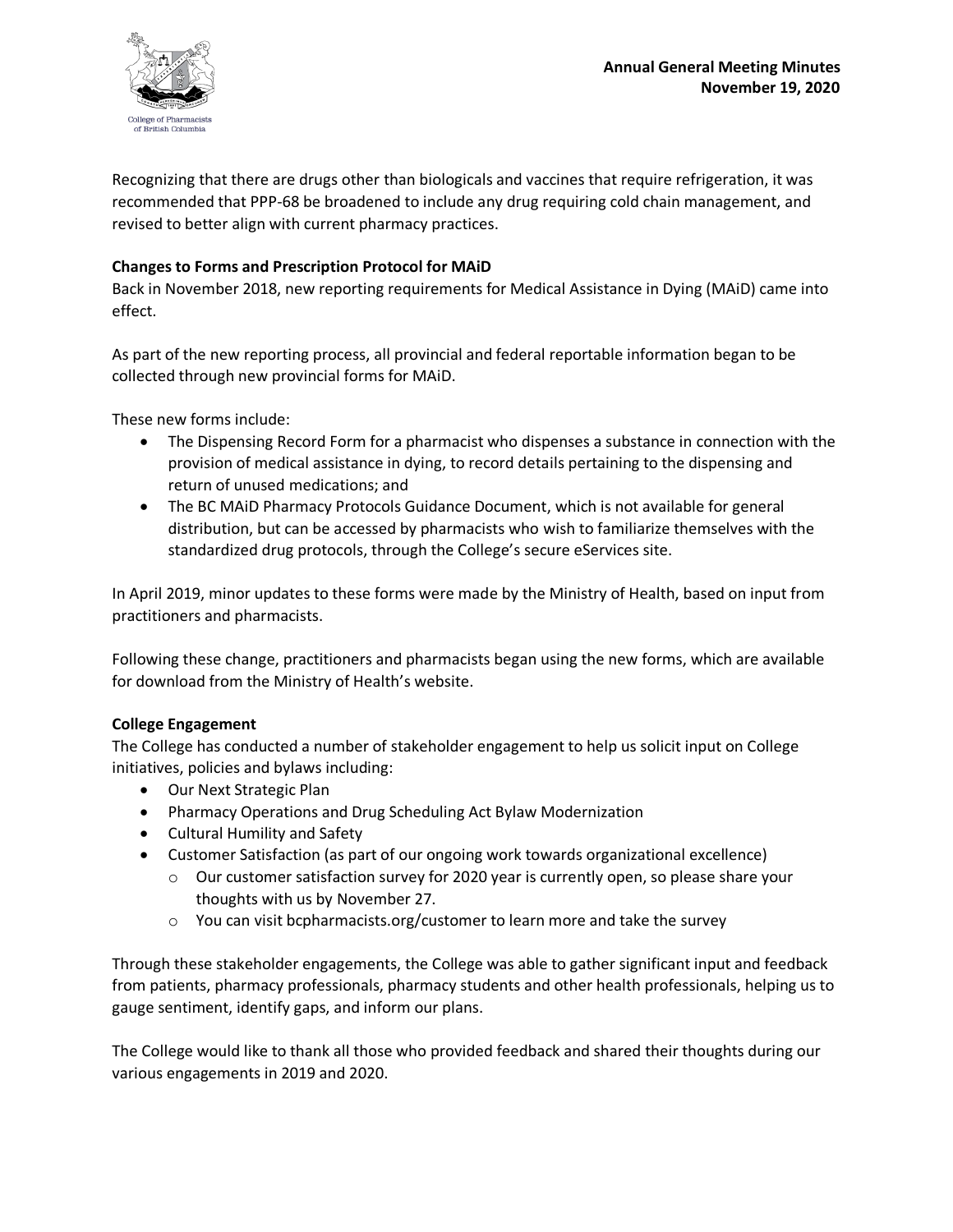

Recognizing that there are drugs other than biologicals and vaccines that require refrigeration, it was recommended that PPP-68 be broadened to include any drug requiring cold chain management, and revised to better align with current pharmacy practices.

# **Changes to Forms and Prescription Protocol for MAiD**

Back in November 2018, new reporting requirements for Medical Assistance in Dying (MAiD) came into effect.

As part of the new reporting process, all provincial and federal reportable information began to be collected through new provincial forms for MAiD.

These new forms include:

- The Dispensing Record Form for a pharmacist who dispenses a substance in connection with the provision of medical assistance in dying, to record details pertaining to the dispensing and return of unused medications; and
- The BC MAiD Pharmacy Protocols Guidance Document, which is not available for general distribution, but can be accessed by pharmacists who wish to familiarize themselves with the standardized drug protocols, through the College's secure eServices site.

In April 2019, minor updates to these forms were made by the Ministry of Health, based on input from practitioners and pharmacists.

Following these change, practitioners and pharmacists began using the new forms, which are available for download from the Ministry of Health's website.

# **College Engagement**

The College has conducted a number of stakeholder engagement to help us solicit input on College initiatives, policies and bylaws including:

- Our Next Strategic Plan
- Pharmacy Operations and Drug Scheduling Act Bylaw Modernization
- Cultural Humility and Safety
- Customer Satisfaction (as part of our ongoing work towards organizational excellence)
	- o Our customer satisfaction survey for 2020 year is currently open, so please share your thoughts with us by November 27.
	- $\circ$  You can visit bcpharmacists.org/customer to learn more and take the survey

Through these stakeholder engagements, the College was able to gather significant input and feedback from patients, pharmacy professionals, pharmacy students and other health professionals, helping us to gauge sentiment, identify gaps, and inform our plans.

The College would like to thank all those who provided feedback and shared their thoughts during our various engagements in 2019 and 2020.